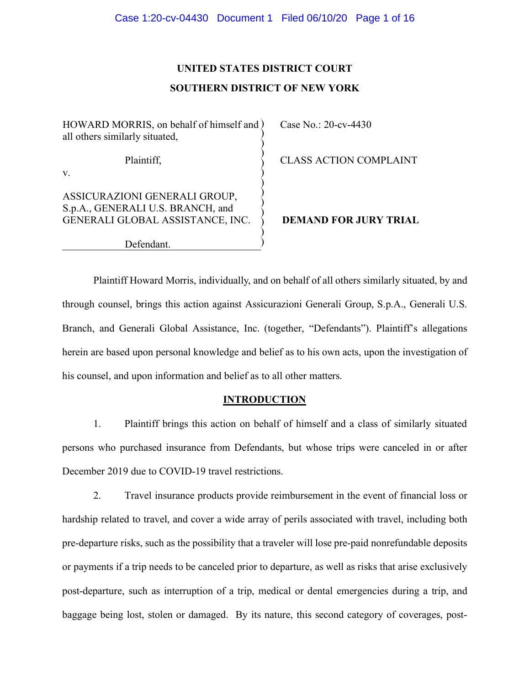# **UNITED STATES DISTRICT COURT SOUTHERN DISTRICT OF NEW YORK**

) ) ) ) )

)

HOWARD MORRIS, on behalf of himself and ) all others similarly situated, ) )

Plaintiff,

v.

ASSICURAZIONI GENERALI GROUP,

Case No.: 20-cv-4430

CLASS ACTION COMPLAINT

S.p.A., GENERALI U.S. BRANCH, and GENERALI GLOBAL ASSISTANCE, INC. ) ) ) )

Defendant.

 **DEMAND FOR JURY TRIAL**

Plaintiff Howard Morris, individually, and on behalf of all others similarly situated, by and through counsel, brings this action against Assicurazioni Generali Group, S.p.A., Generali U.S. Branch, and Generali Global Assistance, Inc. (together, "Defendants"). Plaintiff's allegations herein are based upon personal knowledge and belief as to his own acts, upon the investigation of his counsel, and upon information and belief as to all other matters.

# **INTRODUCTION**

1. Plaintiff brings this action on behalf of himself and a class of similarly situated persons who purchased insurance from Defendants, but whose trips were canceled in or after December 2019 due to COVID-19 travel restrictions.

2. Travel insurance products provide reimbursement in the event of financial loss or hardship related to travel, and cover a wide array of perils associated with travel, including both pre-departure risks, such as the possibility that a traveler will lose pre-paid nonrefundable deposits or payments if a trip needs to be canceled prior to departure, as well as risks that arise exclusively post-departure, such as interruption of a trip, medical or dental emergencies during a trip, and baggage being lost, stolen or damaged. By its nature, this second category of coverages, post-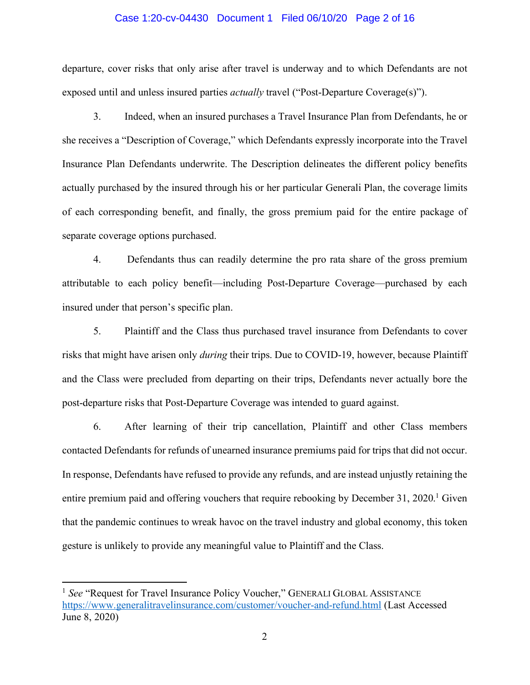#### Case 1:20-cv-04430 Document 1 Filed 06/10/20 Page 2 of 16

departure, cover risks that only arise after travel is underway and to which Defendants are not exposed until and unless insured parties *actually* travel ("Post-Departure Coverage(s)").

3. Indeed, when an insured purchases a Travel Insurance Plan from Defendants, he or she receives a "Description of Coverage," which Defendants expressly incorporate into the Travel Insurance Plan Defendants underwrite. The Description delineates the different policy benefits actually purchased by the insured through his or her particular Generali Plan, the coverage limits of each corresponding benefit, and finally, the gross premium paid for the entire package of separate coverage options purchased.

4. Defendants thus can readily determine the pro rata share of the gross premium attributable to each policy benefit—including Post-Departure Coverage—purchased by each insured under that person's specific plan.

5. Plaintiff and the Class thus purchased travel insurance from Defendants to cover risks that might have arisen only *during* their trips. Due to COVID-19, however, because Plaintiff and the Class were precluded from departing on their trips, Defendants never actually bore the post-departure risks that Post-Departure Coverage was intended to guard against.

6. After learning of their trip cancellation, Plaintiff and other Class members contacted Defendants for refunds of unearned insurance premiums paid for trips that did not occur. In response, Defendants have refused to provide any refunds, and are instead unjustly retaining the entire premium paid and offering vouchers that require rebooking by December 31, 2020.<sup>1</sup> Given that the pandemic continues to wreak havoc on the travel industry and global economy, this token gesture is unlikely to provide any meaningful value to Plaintiff and the Class.

 $\overline{a}$ 

<sup>&</sup>lt;sup>1</sup> See "Request for Travel Insurance Policy Voucher," GENERALI GLOBAL ASSISTANCE https://www.generalitravelinsurance.com/customer/voucher-and-refund.html (Last Accessed June 8, 2020)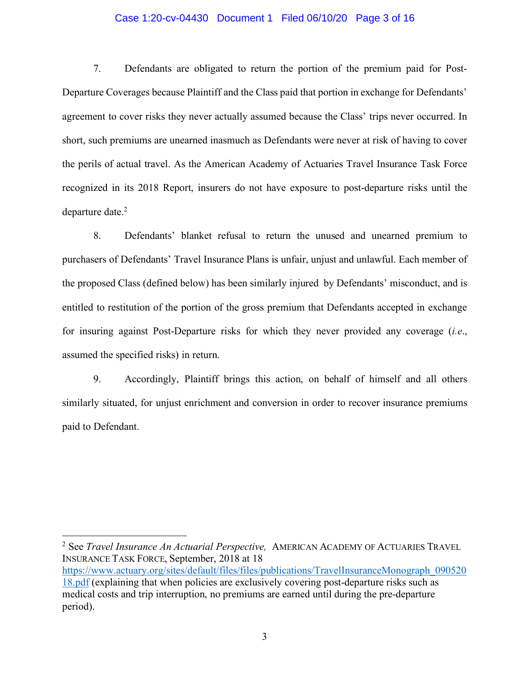#### Case 1:20-cv-04430 Document 1 Filed 06/10/20 Page 3 of 16

7. Defendants are obligated to return the portion of the premium paid for Post-Departure Coverages because Plaintiff and the Class paid that portion in exchange for Defendants' agreement to cover risks they never actually assumed because the Class' trips never occurred. In short, such premiums are unearned inasmuch as Defendants were never at risk of having to cover the perils of actual travel. As the American Academy of Actuaries Travel Insurance Task Force recognized in its 2018 Report, insurers do not have exposure to post-departure risks until the departure date.<sup>2</sup>

8. Defendants' blanket refusal to return the unused and unearned premium to purchasers of Defendants' Travel Insurance Plans is unfair, unjust and unlawful. Each member of the proposed Class (defined below) has been similarly injured by Defendants' misconduct, and is entitled to restitution of the portion of the gross premium that Defendants accepted in exchange for insuring against Post-Departure risks for which they never provided any coverage (*i.e*., assumed the specified risks) in return.

9. Accordingly, Plaintiff brings this action, on behalf of himself and all others similarly situated, for unjust enrichment and conversion in order to recover insurance premiums paid to Defendant.

<sup>2</sup> See *Travel Insurance An Actuarial Perspective,* AMERICAN ACADEMY OF ACTUARIES TRAVEL INSURANCE TASK FORCE, September, 2018 at 18 https://www.actuary.org/sites/default/files/files/publications/TravelInsuranceMonograph\_090520 18.pdf (explaining that when policies are exclusively covering post-departure risks such as

 $\overline{a}$ 

medical costs and trip interruption, no premiums are earned until during the pre-departure period).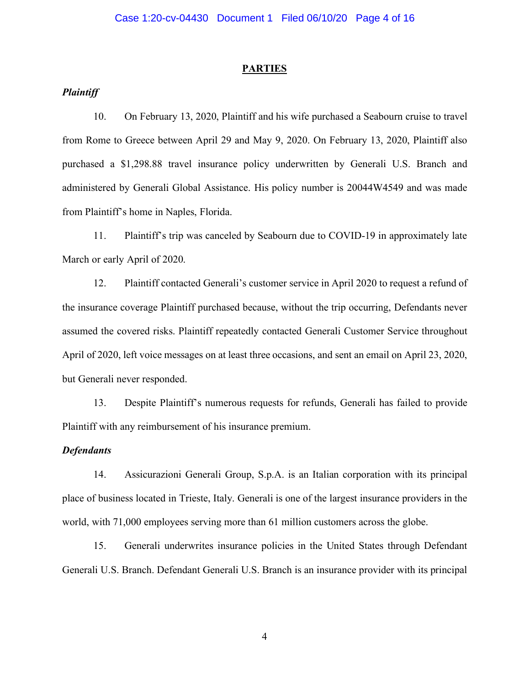#### **PARTIES**

# *Plaintiff*

10. On February 13, 2020, Plaintiff and his wife purchased a Seabourn cruise to travel from Rome to Greece between April 29 and May 9, 2020. On February 13, 2020, Plaintiff also purchased a \$1,298.88 travel insurance policy underwritten by Generali U.S. Branch and administered by Generali Global Assistance. His policy number is 20044W4549 and was made from Plaintiff's home in Naples, Florida.

11. Plaintiff's trip was canceled by Seabourn due to COVID-19 in approximately late March or early April of 2020.

12. Plaintiff contacted Generali's customer service in April 2020 to request a refund of the insurance coverage Plaintiff purchased because, without the trip occurring, Defendants never assumed the covered risks. Plaintiff repeatedly contacted Generali Customer Service throughout April of 2020, left voice messages on at least three occasions, and sent an email on April 23, 2020, but Generali never responded.

13. Despite Plaintiff's numerous requests for refunds, Generali has failed to provide Plaintiff with any reimbursement of his insurance premium.

### *Defendants*

14. Assicurazioni Generali Group, S.p.A. is an Italian corporation with its principal place of business located in Trieste, Italy. Generali is one of the largest insurance providers in the world, with 71,000 employees serving more than 61 million customers across the globe.

15. Generali underwrites insurance policies in the United States through Defendant Generali U.S. Branch. Defendant Generali U.S. Branch is an insurance provider with its principal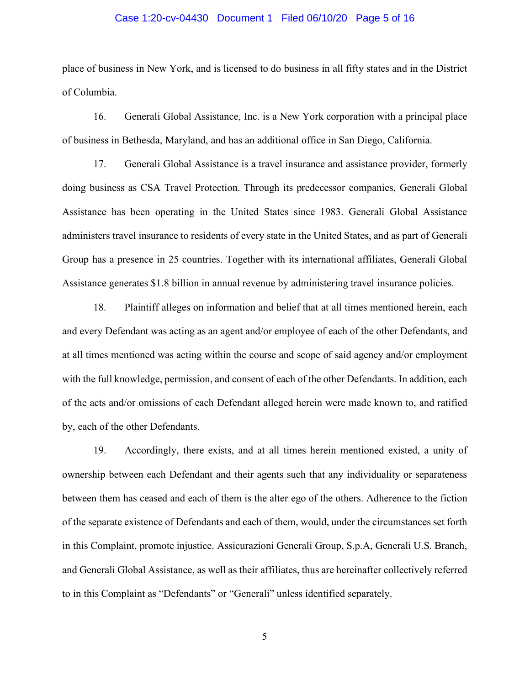#### Case 1:20-cv-04430 Document 1 Filed 06/10/20 Page 5 of 16

place of business in New York, and is licensed to do business in all fifty states and in the District of Columbia.

16. Generali Global Assistance, Inc. is a New York corporation with a principal place of business in Bethesda, Maryland, and has an additional office in San Diego, California.

17. Generali Global Assistance is a travel insurance and assistance provider, formerly doing business as CSA Travel Protection. Through its predecessor companies, Generali Global Assistance has been operating in the United States since 1983. Generali Global Assistance administers travel insurance to residents of every state in the United States, and as part of Generali Group has a presence in 25 countries. Together with its international affiliates, Generali Global Assistance generates \$1.8 billion in annual revenue by administering travel insurance policies.

18. Plaintiff alleges on information and belief that at all times mentioned herein, each and every Defendant was acting as an agent and/or employee of each of the other Defendants, and at all times mentioned was acting within the course and scope of said agency and/or employment with the full knowledge, permission, and consent of each of the other Defendants. In addition, each of the acts and/or omissions of each Defendant alleged herein were made known to, and ratified by, each of the other Defendants.

19. Accordingly, there exists, and at all times herein mentioned existed, a unity of ownership between each Defendant and their agents such that any individuality or separateness between them has ceased and each of them is the alter ego of the others. Adherence to the fiction of the separate existence of Defendants and each of them, would, under the circumstances set forth in this Complaint, promote injustice. Assicurazioni Generali Group, S.p.A, Generali U.S. Branch, and Generali Global Assistance, as well as their affiliates, thus are hereinafter collectively referred to in this Complaint as "Defendants" or "Generali" unless identified separately.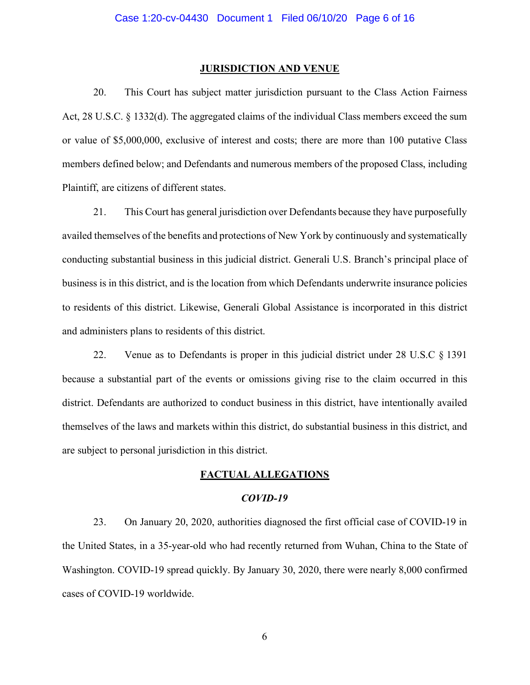#### **JURISDICTION AND VENUE**

20. This Court has subject matter jurisdiction pursuant to the Class Action Fairness Act, 28 U.S.C. § 1332(d). The aggregated claims of the individual Class members exceed the sum or value of \$5,000,000, exclusive of interest and costs; there are more than 100 putative Class members defined below; and Defendants and numerous members of the proposed Class, including Plaintiff, are citizens of different states.

21. This Court has general jurisdiction over Defendants because they have purposefully availed themselves of the benefits and protections of New York by continuously and systematically conducting substantial business in this judicial district. Generali U.S. Branch's principal place of business is in this district, and is the location from which Defendants underwrite insurance policies to residents of this district. Likewise, Generali Global Assistance is incorporated in this district and administers plans to residents of this district.

22. Venue as to Defendants is proper in this judicial district under 28 U.S.C § 1391 because a substantial part of the events or omissions giving rise to the claim occurred in this district. Defendants are authorized to conduct business in this district, have intentionally availed themselves of the laws and markets within this district, do substantial business in this district, and are subject to personal jurisdiction in this district.

#### **FACTUAL ALLEGATIONS**

#### *COVID-19*

23. On January 20, 2020, authorities diagnosed the first official case of COVID-19 in the United States, in a 35-year-old who had recently returned from Wuhan, China to the State of Washington. COVID-19 spread quickly. By January 30, 2020, there were nearly 8,000 confirmed cases of COVID-19 worldwide.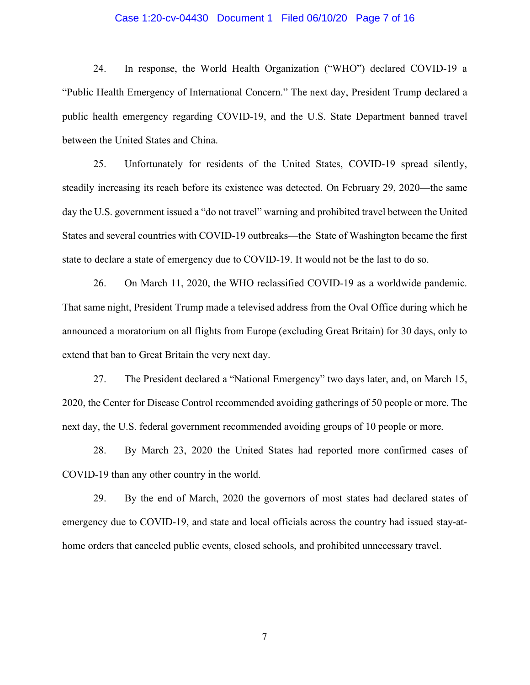#### Case 1:20-cv-04430 Document 1 Filed 06/10/20 Page 7 of 16

24. In response, the World Health Organization ("WHO") declared COVID-19 a "Public Health Emergency of International Concern." The next day, President Trump declared a public health emergency regarding COVID-19, and the U.S. State Department banned travel between the United States and China.

25. Unfortunately for residents of the United States, COVID-19 spread silently, steadily increasing its reach before its existence was detected. On February 29, 2020—the same day the U.S. government issued a "do not travel" warning and prohibited travel between the United States and several countries with COVID-19 outbreaks—the State of Washington became the first state to declare a state of emergency due to COVID-19. It would not be the last to do so.

26. On March 11, 2020, the WHO reclassified COVID-19 as a worldwide pandemic. That same night, President Trump made a televised address from the Oval Office during which he announced a moratorium on all flights from Europe (excluding Great Britain) for 30 days, only to extend that ban to Great Britain the very next day.

27. The President declared a "National Emergency" two days later, and, on March 15, 2020, the Center for Disease Control recommended avoiding gatherings of 50 people or more. The next day, the U.S. federal government recommended avoiding groups of 10 people or more.

28. By March 23, 2020 the United States had reported more confirmed cases of COVID-19 than any other country in the world.

29. By the end of March, 2020 the governors of most states had declared states of emergency due to COVID-19, and state and local officials across the country had issued stay-athome orders that canceled public events, closed schools, and prohibited unnecessary travel.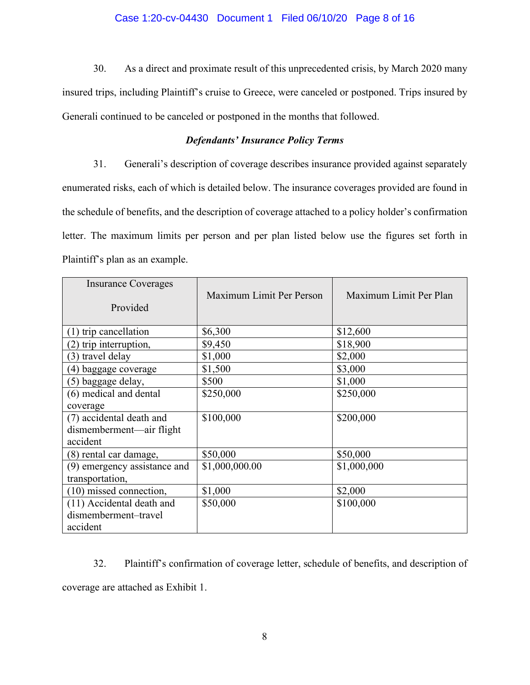# Case 1:20-cv-04430 Document 1 Filed 06/10/20 Page 8 of 16

30. As a direct and proximate result of this unprecedented crisis, by March 2020 many insured trips, including Plaintiff's cruise to Greece, were canceled or postponed. Trips insured by Generali continued to be canceled or postponed in the months that followed.

# *Defendants' Insurance Policy Terms*

31. Generali's description of coverage describes insurance provided against separately enumerated risks, each of which is detailed below. The insurance coverages provided are found in the schedule of benefits, and the description of coverage attached to a policy holder's confirmation letter. The maximum limits per person and per plan listed below use the figures set forth in Plaintiff's plan as an example.

| <b>Insurance Coverages</b><br>Provided | Maximum Limit Per Person | Maximum Limit Per Plan |
|----------------------------------------|--------------------------|------------------------|
| $(1)$ trip cancellation                | \$6,300                  | \$12,600               |
| (2) trip interruption,                 | \$9,450                  | \$18,900               |
| (3) travel delay                       | \$1,000                  | \$2,000                |
| (4) baggage coverage                   | \$1,500                  | \$3,000                |
| (5) baggage delay,                     | \$500                    | \$1,000                |
| (6) medical and dental                 | \$250,000                | \$250,000              |
| coverage                               |                          |                        |
| (7) accidental death and               | \$100,000                | \$200,000              |
| dismemberment—air flight<br>accident   |                          |                        |
| (8) rental car damage,                 | \$50,000                 | \$50,000               |
| (9) emergency assistance and           | \$1,000,000.00           | \$1,000,000            |
| transportation,                        |                          |                        |
| $(10)$ missed connection,              | \$1,000                  | \$2,000                |
| (11) Accidental death and              | \$50,000                 | \$100,000              |
| dismemberment-travel                   |                          |                        |
| accident                               |                          |                        |

32. Plaintiff's confirmation of coverage letter, schedule of benefits, and description of coverage are attached as Exhibit 1.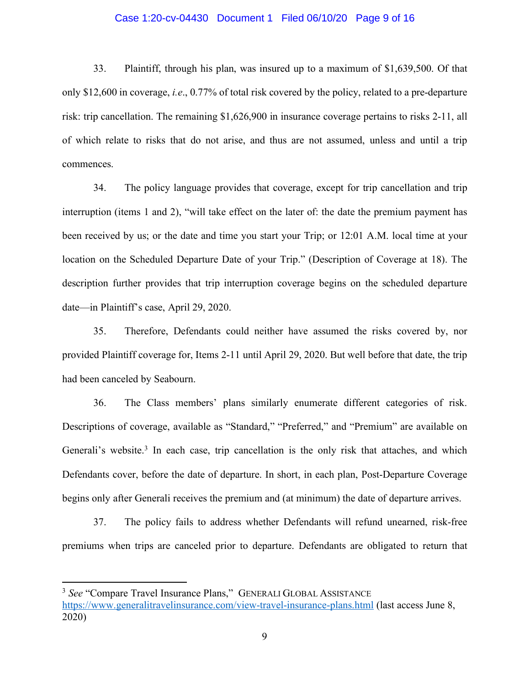#### Case 1:20-cv-04430 Document 1 Filed 06/10/20 Page 9 of 16

33. Plaintiff, through his plan, was insured up to a maximum of \$1,639,500. Of that only \$12,600 in coverage, *i.e*., 0.77% of total risk covered by the policy, related to a pre-departure risk: trip cancellation. The remaining \$1,626,900 in insurance coverage pertains to risks 2-11, all of which relate to risks that do not arise, and thus are not assumed, unless and until a trip commences.

34. The policy language provides that coverage, except for trip cancellation and trip interruption (items 1 and 2), "will take effect on the later of: the date the premium payment has been received by us; or the date and time you start your Trip; or 12:01 A.M. local time at your location on the Scheduled Departure Date of your Trip." (Description of Coverage at 18). The description further provides that trip interruption coverage begins on the scheduled departure date—in Plaintiff's case, April 29, 2020.

35. Therefore, Defendants could neither have assumed the risks covered by, nor provided Plaintiff coverage for, Items 2-11 until April 29, 2020. But well before that date, the trip had been canceled by Seabourn.

36. The Class members' plans similarly enumerate different categories of risk. Descriptions of coverage, available as "Standard," "Preferred," and "Premium" are available on Generali's website.<sup>3</sup> In each case, trip cancellation is the only risk that attaches, and which Defendants cover, before the date of departure. In short, in each plan, Post-Departure Coverage begins only after Generali receives the premium and (at minimum) the date of departure arrives.

37. The policy fails to address whether Defendants will refund unearned, risk-free premiums when trips are canceled prior to departure. Defendants are obligated to return that

 $\overline{a}$ 

<sup>3</sup> *See* "Compare Travel Insurance Plans," GENERALI GLOBAL ASSISTANCE https://www.generalitravelinsurance.com/view-travel-insurance-plans.html (last access June 8, 2020)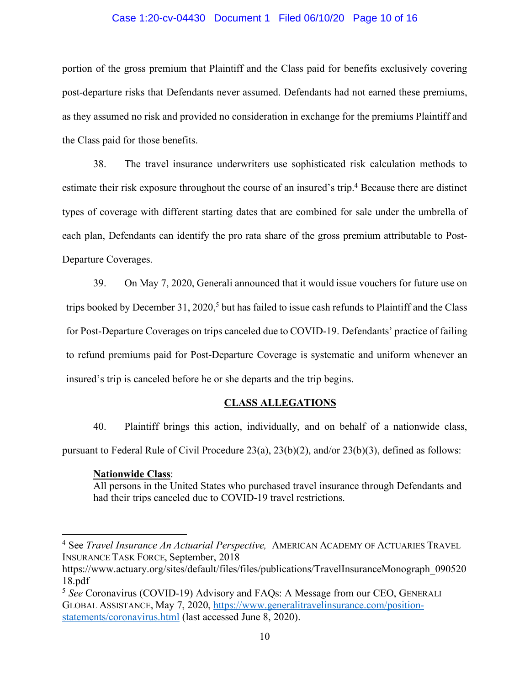#### Case 1:20-cv-04430 Document 1 Filed 06/10/20 Page 10 of 16

portion of the gross premium that Plaintiff and the Class paid for benefits exclusively covering post-departure risks that Defendants never assumed. Defendants had not earned these premiums, as they assumed no risk and provided no consideration in exchange for the premiums Plaintiff and the Class paid for those benefits.

38. The travel insurance underwriters use sophisticated risk calculation methods to estimate their risk exposure throughout the course of an insured's trip.<sup>4</sup> Because there are distinct types of coverage with different starting dates that are combined for sale under the umbrella of each plan, Defendants can identify the pro rata share of the gross premium attributable to Post-Departure Coverages.

39. On May 7, 2020, Generali announced that it would issue vouchers for future use on trips booked by December 31, 2020,<sup>5</sup> but has failed to issue cash refunds to Plaintiff and the Class for Post-Departure Coverages on trips canceled due to COVID-19. Defendants' practice of failing to refund premiums paid for Post-Departure Coverage is systematic and uniform whenever an insured's trip is canceled before he or she departs and the trip begins.

# **CLASS ALLEGATIONS**

40. Plaintiff brings this action, individually, and on behalf of a nationwide class, pursuant to Federal Rule of Civil Procedure 23(a), 23(b)(2), and/or 23(b)(3), defined as follows:

# **Nationwide Class**:

 $\overline{a}$ 

All persons in the United States who purchased travel insurance through Defendants and had their trips canceled due to COVID-19 travel restrictions.

<sup>4</sup> See *Travel Insurance An Actuarial Perspective,* AMERICAN ACADEMY OF ACTUARIES TRAVEL INSURANCE TASK FORCE, September, 2018

https://www.actuary.org/sites/default/files/files/publications/TravelInsuranceMonograph\_090520 18.pdf

<sup>5</sup> *See* Coronavirus (COVID-19) Advisory and FAQs: A Message from our CEO, GENERALI GLOBAL ASSISTANCE, May 7, 2020, https://www.generalitravelinsurance.com/positionstatements/coronavirus.html (last accessed June 8, 2020).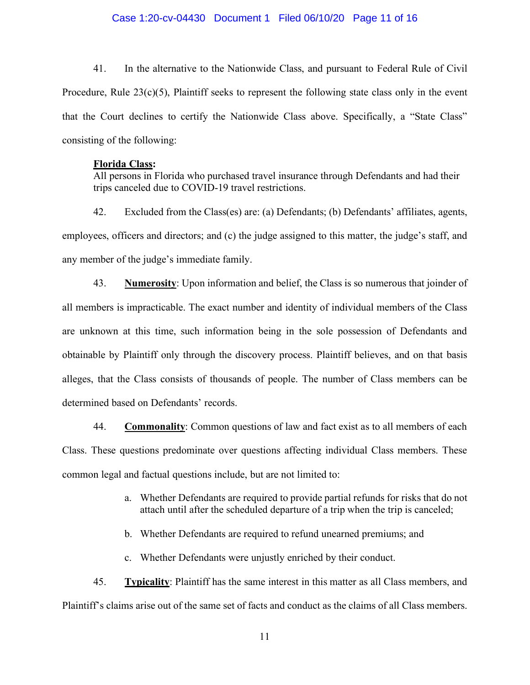#### Case 1:20-cv-04430 Document 1 Filed 06/10/20 Page 11 of 16

41. In the alternative to the Nationwide Class, and pursuant to Federal Rule of Civil Procedure, Rule 23(c)(5), Plaintiff seeks to represent the following state class only in the event that the Court declines to certify the Nationwide Class above. Specifically, a "State Class" consisting of the following:

#### **Florida Class:**

All persons in Florida who purchased travel insurance through Defendants and had their trips canceled due to COVID-19 travel restrictions.

42. Excluded from the Class(es) are: (a) Defendants; (b) Defendants' affiliates, agents, employees, officers and directors; and (c) the judge assigned to this matter, the judge's staff, and any member of the judge's immediate family.

43. **Numerosity**: Upon information and belief, the Class is so numerous that joinder of all members is impracticable. The exact number and identity of individual members of the Class are unknown at this time, such information being in the sole possession of Defendants and obtainable by Plaintiff only through the discovery process. Plaintiff believes, and on that basis alleges, that the Class consists of thousands of people. The number of Class members can be determined based on Defendants' records.

44. **Commonality**: Common questions of law and fact exist as to all members of each Class. These questions predominate over questions affecting individual Class members. These common legal and factual questions include, but are not limited to:

- a. Whether Defendants are required to provide partial refunds for risks that do not attach until after the scheduled departure of a trip when the trip is canceled;
- b. Whether Defendants are required to refund unearned premiums; and
- c. Whether Defendants were unjustly enriched by their conduct.

45. **Typicality**: Plaintiff has the same interest in this matter as all Class members, and Plaintiff's claims arise out of the same set of facts and conduct as the claims of all Class members.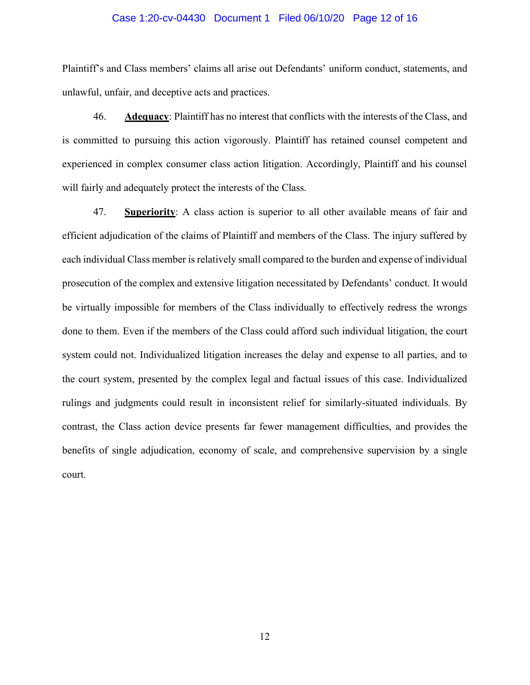#### Case 1:20-cv-04430 Document 1 Filed 06/10/20 Page 12 of 16

Plaintiff's and Class members' claims all arise out Defendants' uniform conduct, statements, and unlawful, unfair, and deceptive acts and practices.

46. **Adequacy**: Plaintiff has no interest that conflicts with the interests of the Class, and is committed to pursuing this action vigorously. Plaintiff has retained counsel competent and experienced in complex consumer class action litigation. Accordingly, Plaintiff and his counsel will fairly and adequately protect the interests of the Class.

47. **Superiority**: A class action is superior to all other available means of fair and efficient adjudication of the claims of Plaintiff and members of the Class. The injury suffered by each individual Class member is relatively small compared to the burden and expense of individual prosecution of the complex and extensive litigation necessitated by Defendants' conduct. It would be virtually impossible for members of the Class individually to effectively redress the wrongs done to them. Even if the members of the Class could afford such individual litigation, the court system could not. Individualized litigation increases the delay and expense to all parties, and to the court system, presented by the complex legal and factual issues of this case. Individualized rulings and judgments could result in inconsistent relief for similarly-situated individuals. By contrast, the Class action device presents far fewer management difficulties, and provides the benefits of single adjudication, economy of scale, and comprehensive supervision by a single court.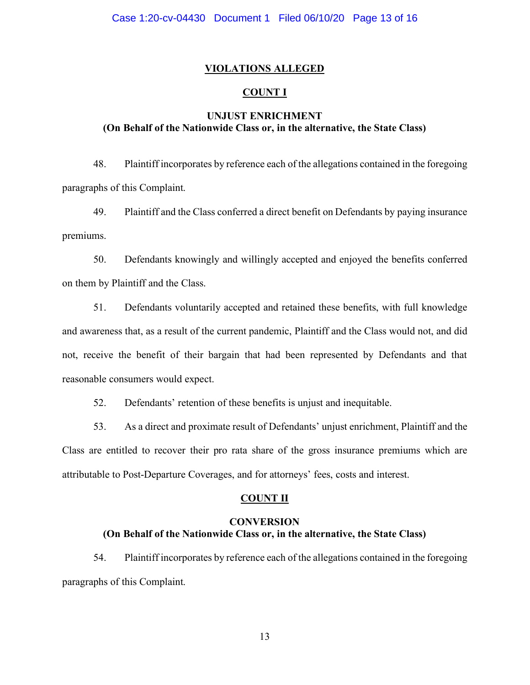# **VIOLATIONS ALLEGED**

# **COUNT I**

# **UNJUST ENRICHMENT (On Behalf of the Nationwide Class or, in the alternative, the State Class)**

48. Plaintiff incorporates by reference each of the allegations contained in the foregoing paragraphs of this Complaint.

49. Plaintiff and the Class conferred a direct benefit on Defendants by paying insurance premiums.

50. Defendants knowingly and willingly accepted and enjoyed the benefits conferred on them by Plaintiff and the Class.

51. Defendants voluntarily accepted and retained these benefits, with full knowledge and awareness that, as a result of the current pandemic, Plaintiff and the Class would not, and did not, receive the benefit of their bargain that had been represented by Defendants and that reasonable consumers would expect.

52. Defendants' retention of these benefits is unjust and inequitable.

53. As a direct and proximate result of Defendants' unjust enrichment, Plaintiff and the Class are entitled to recover their pro rata share of the gross insurance premiums which are attributable to Post-Departure Coverages, and for attorneys' fees, costs and interest.

#### **COUNT II**

# **CONVERSION (On Behalf of the Nationwide Class or, in the alternative, the State Class)**

54. Plaintiff incorporates by reference each of the allegations contained in the foregoing paragraphs of this Complaint.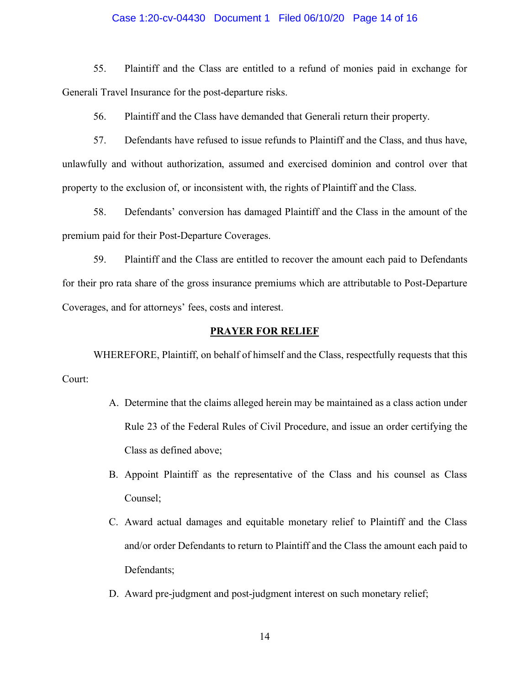#### Case 1:20-cv-04430 Document 1 Filed 06/10/20 Page 14 of 16

55. Plaintiff and the Class are entitled to a refund of monies paid in exchange for Generali Travel Insurance for the post-departure risks.

56. Plaintiff and the Class have demanded that Generali return their property.

57. Defendants have refused to issue refunds to Plaintiff and the Class, and thus have, unlawfully and without authorization, assumed and exercised dominion and control over that property to the exclusion of, or inconsistent with, the rights of Plaintiff and the Class.

58. Defendants' conversion has damaged Plaintiff and the Class in the amount of the premium paid for their Post-Departure Coverages.

59. Plaintiff and the Class are entitled to recover the amount each paid to Defendants for their pro rata share of the gross insurance premiums which are attributable to Post-Departure Coverages, and for attorneys' fees, costs and interest.

#### **PRAYER FOR RELIEF**

WHEREFORE, Plaintiff, on behalf of himself and the Class, respectfully requests that this Court:

- A. Determine that the claims alleged herein may be maintained as a class action under Rule 23 of the Federal Rules of Civil Procedure, and issue an order certifying the Class as defined above;
- B. Appoint Plaintiff as the representative of the Class and his counsel as Class Counsel;
- C. Award actual damages and equitable monetary relief to Plaintiff and the Class and/or order Defendants to return to Plaintiff and the Class the amount each paid to Defendants;
- D. Award pre-judgment and post-judgment interest on such monetary relief;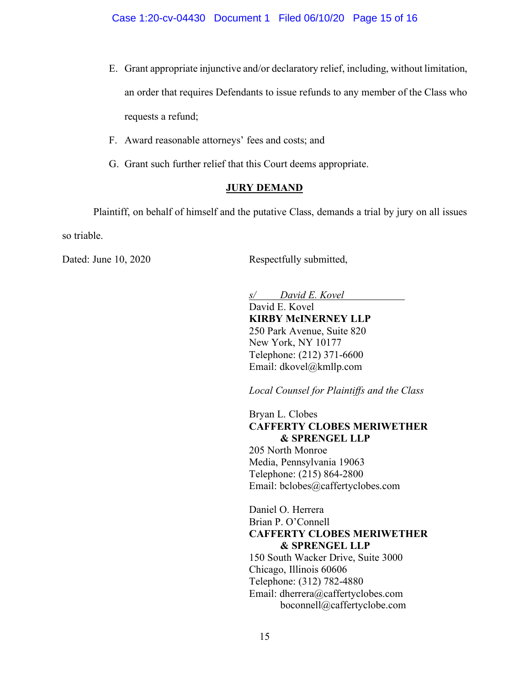- E. Grant appropriate injunctive and/or declaratory relief, including, without limitation, an order that requires Defendants to issue refunds to any member of the Class who requests a refund;
- F. Award reasonable attorneys' fees and costs; and
- G. Grant such further relief that this Court deems appropriate.

# **JURY DEMAND**

Plaintiff, on behalf of himself and the putative Class, demands a trial by jury on all issues so triable.

Dated: June 10, 2020 Respectfully submitted,

*s/ David E. Kovel* David E. Kovel **KIRBY McINERNEY LLP** 250 Park Avenue, Suite 820 New York, NY 10177 Telephone: (212) 371-6600 Email: dkovel@kmllp.com

*Local Counsel for Plaintiffs and the Class*

Bryan L. Clobes **CAFFERTY CLOBES MERIWETHER & SPRENGEL LLP**

205 North Monroe Media, Pennsylvania 19063 Telephone: (215) 864-2800 Email: bclobes@caffertyclobes.com

Daniel O. Herrera Brian P. O'Connell **CAFFERTY CLOBES MERIWETHER & SPRENGEL LLP** 150 South Wacker Drive, Suite 3000 Chicago, Illinois 60606 Telephone: (312) 782-4880 Email: dherrera@caffertyclobes.com boconnell@caffertyclobe.com